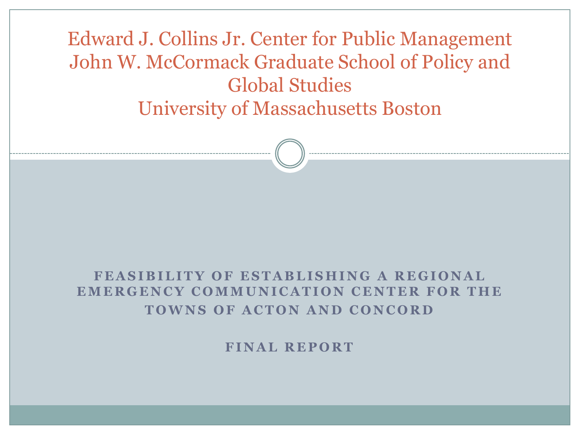Edward J. Collins Jr. Center for Public Management John W. McCormack Graduate School of Policy and Global Studies University of Massachusetts Boston

#### **FEASIBILITY OF ESTABLISHING A REGIONAL EMERGENCY COMMUNICATION CENTER FOR THE TOWNS OF ACTON AND CONCORD**

**FINAL REPORT**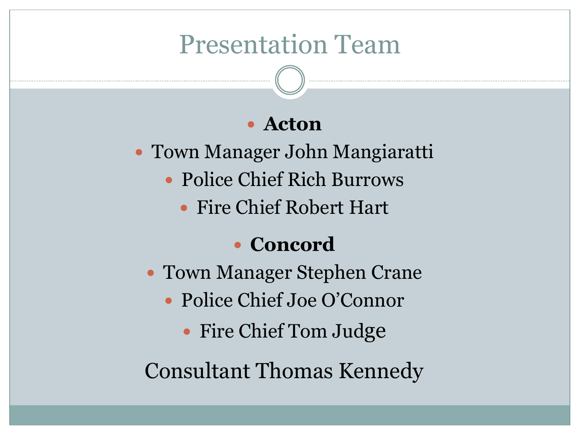#### Presentation Team

#### **Acton**

- Town Manager John Mangiaratti
	- Police Chief Rich Burrows
		- Fire Chief Robert Hart

#### **Concord**

- Town Manager Stephen Crane
	- Police Chief Joe O'Connor
		- Fire Chief Tom Judge

Consultant Thomas Kennedy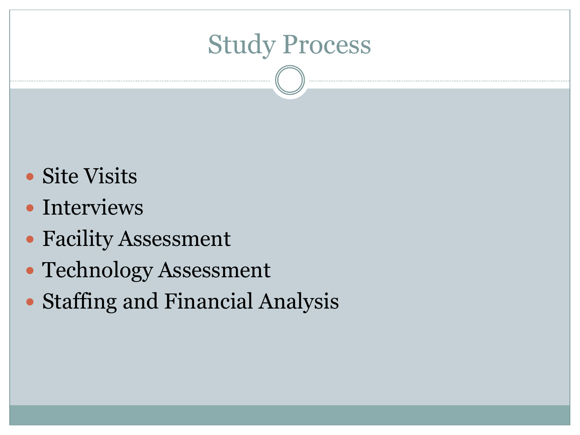## Study Process

- Site Visits
- Interviews
- Facility Assessment
- Technology Assessment
- Staffing and Financial Analysis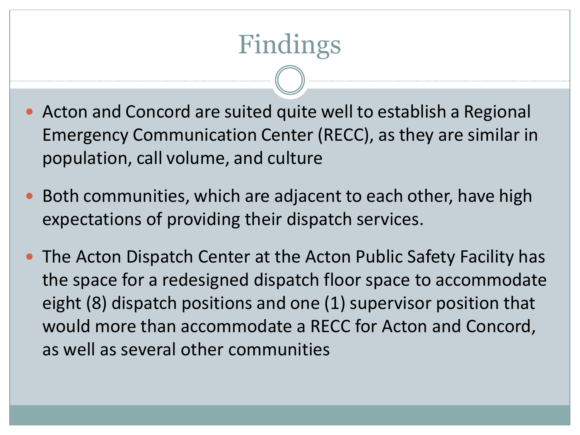# Findings

- Acton and Concord are suited quite well to establish a Regional Emergency Communication Center (RECC), as they are similar in population, call volume, and culture
- Both communities, which are adjacent to each other, have high expectations of providing their dispatch services.
- The Acton Dispatch Center at the Acton Public Safety Facility has the space for a redesigned dispatch floor space to accommodate eight (8) dispatch positions and one (1) supervisor position that would more than accommodate a RECC for Acton and Concord, as well as several other communities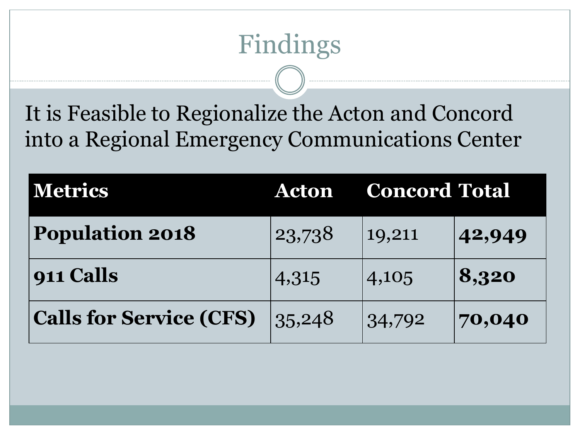# Findings

It is Feasible to Regionalize the Acton and Concord into a Regional Emergency Communications Center

| <b>Metrics</b>                 | <b>Acton</b> | <b>Concord Total</b> |        |
|--------------------------------|--------------|----------------------|--------|
| <b>Population 2018</b>         | 23,738       | 19,211               | 42,949 |
| $\vert$ 911 Calls              | 4,315        | 4,105                | 8,320  |
| <b>Calls for Service (CFS)</b> | 35,248       | 34,792               | 70,040 |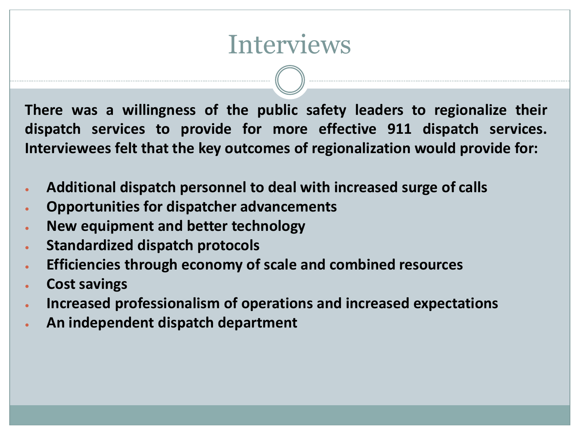#### Interviews

**There was a willingness of the public safety leaders to regionalize their dispatch services to provide for more effective 911 dispatch services. Interviewees felt that the key outcomes of regionalization would provide for:**

- **Additional dispatch personnel to deal with increased surge of calls**
- **Opportunities for dispatcher advancements**
- **New equipment and better technology**
- **Standardized dispatch protocols**
- **Efficiencies through economy of scale and combined resources**
- **Cost savings**
- **Increased professionalism of operations and increased expectations**
- **An independent dispatch department**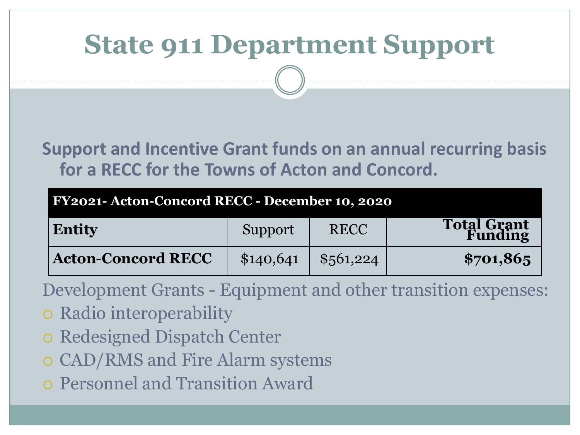### **State 911 Department Support**

#### **Support and Incentive Grant funds on an annual recurring basis for a RECC for the Towns of Acton and Concord.**

#### **FY2021- Acton-Concord RECC - December 10, 2020**

| Entity                    | Support   | <b>RECC</b> | <b>Total Grant</b><br>Funding |
|---------------------------|-----------|-------------|-------------------------------|
| <b>Acton-Concord RECC</b> | \$140,641 | \$561,224   | \$701,865                     |

Development Grants - Equipment and other transition expenses:

- Radio interoperability
- o Redesigned Dispatch Center
- CAD/RMS and Fire Alarm systems
- Personnel and Transition Award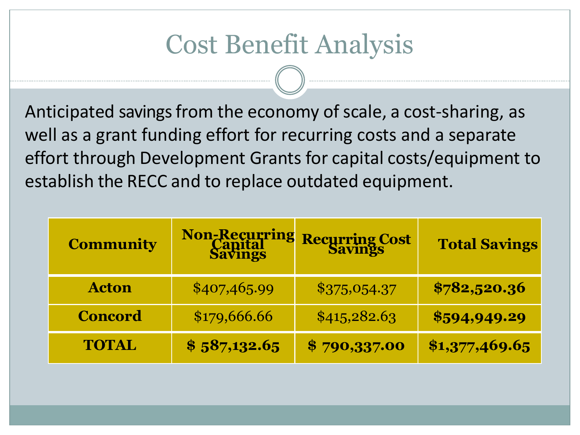## Cost Benefit Analysis

Anticipated savings from the economy of scale, a cost-sharing, as well as a grant funding effort for recurring costs and a separate effort through Development Grants for capital costs/equipment to establish the RECC and to replace outdated equipment.

| <b>Community</b> | <b>Non-Recurring<br/>Capital<br/>Savings</b> | <b>Recurring Cost</b> | <b>Total Savings</b> |
|------------------|----------------------------------------------|-----------------------|----------------------|
| <b>Acton</b>     | \$407,465.99                                 | \$375,054.37          | \$782,520.36         |
| <b>Concord</b>   | \$179,666.66                                 | \$415,282.63          | \$594,949.29         |
| <b>TOTAL</b>     | \$587,132.65                                 | \$790,337.00          | \$1,377,469.65       |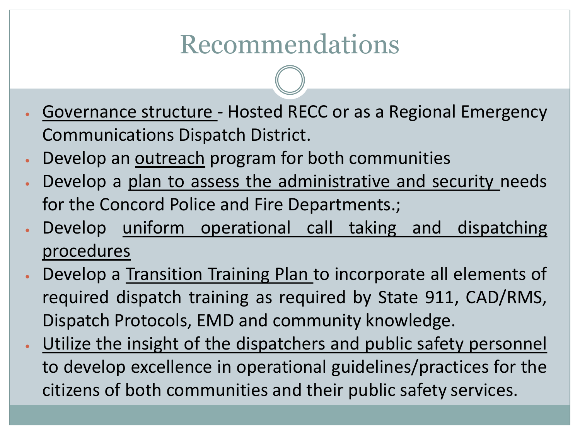## Recommendations

- Governance structure Hosted RECC or as a Regional Emergency Communications Dispatch District.
- Develop an outreach program for both communities
- Develop a plan to assess the administrative and security needs for the Concord Police and Fire Departments.;
- Develop uniform operational call taking and dispatching procedures
- Develop a Transition Training Plan to incorporate all elements of required dispatch training as required by State 911, CAD/RMS, Dispatch Protocols, EMD and community knowledge.
- Utilize the insight of the dispatchers and public safety personnel to develop excellence in operational guidelines/practices for the citizens of both communities and their public safety services.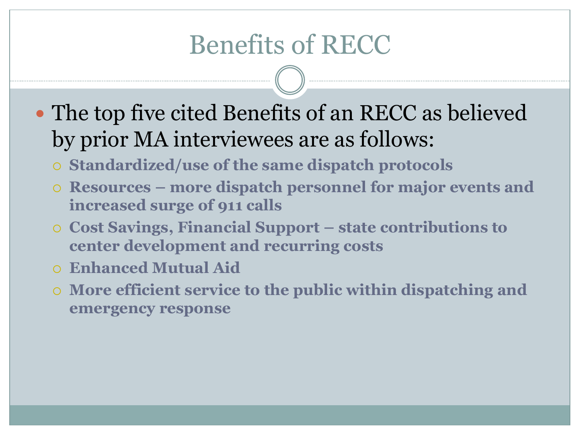## Benefits of RECC

- The top five cited Benefits of an RECC as believed by prior MA interviewees are as follows:
	- **Standardized/use of the same dispatch protocols**
	- **Resources – more dispatch personnel for major events and increased surge of 911 calls**
	- **Cost Savings, Financial Support – state contributions to center development and recurring costs**
	- **Enhanced Mutual Aid**
	- **More efficient service to the public within dispatching and emergency response**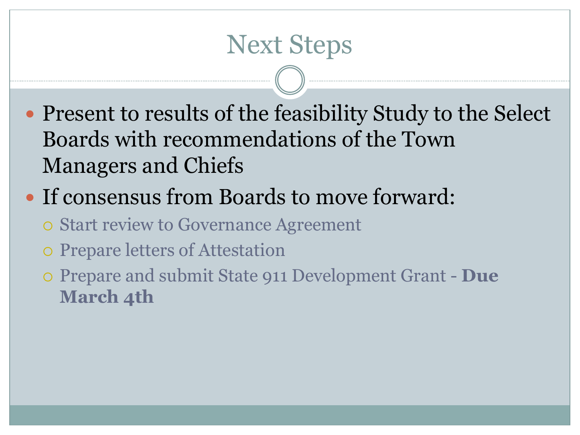#### Next Steps

- Present to results of the feasibility Study to the Select Boards with recommendations of the Town Managers and Chiefs
- If consensus from Boards to move forward:
	- Start review to Governance Agreement
	- Prepare letters of Attestation
	- Prepare and submit State 911 Development Grant **Due March 4th**